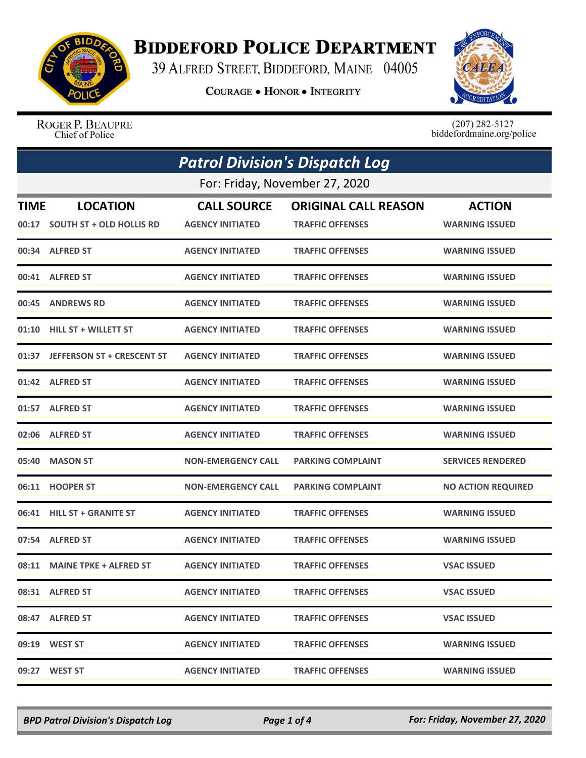

## **BIDDEFORD POLICE DEPARTMENT**

39 ALFRED STREET, BIDDEFORD, MAINE 04005

**COURAGE . HONOR . INTEGRITY** 



ROGER P. BEAUPRE Chief of Police

 $(207)$  282-5127<br>biddefordmaine.org/police

| <b>Patrol Division's Dispatch Log</b> |                                  |                           |                             |                           |  |
|---------------------------------------|----------------------------------|---------------------------|-----------------------------|---------------------------|--|
|                                       | For: Friday, November 27, 2020   |                           |                             |                           |  |
| <b>TIME</b>                           | <b>LOCATION</b>                  | <b>CALL SOURCE</b>        | <b>ORIGINAL CALL REASON</b> | <b>ACTION</b>             |  |
|                                       | 00:17 SOUTH ST + OLD HOLLIS RD   | <b>AGENCY INITIATED</b>   | <b>TRAFFIC OFFENSES</b>     | <b>WARNING ISSUED</b>     |  |
|                                       | 00:34 ALFRED ST                  | <b>AGENCY INITIATED</b>   | <b>TRAFFIC OFFENSES</b>     | <b>WARNING ISSUED</b>     |  |
|                                       | 00:41 ALFRED ST                  | <b>AGENCY INITIATED</b>   | <b>TRAFFIC OFFENSES</b>     | <b>WARNING ISSUED</b>     |  |
|                                       | 00:45 ANDREWS RD                 | <b>AGENCY INITIATED</b>   | <b>TRAFFIC OFFENSES</b>     | <b>WARNING ISSUED</b>     |  |
|                                       | 01:10 HILL ST + WILLETT ST       | <b>AGENCY INITIATED</b>   | <b>TRAFFIC OFFENSES</b>     | <b>WARNING ISSUED</b>     |  |
|                                       | 01:37 JEFFERSON ST + CRESCENT ST | <b>AGENCY INITIATED</b>   | <b>TRAFFIC OFFENSES</b>     | <b>WARNING ISSUED</b>     |  |
| 01:42                                 | <b>ALFRED ST</b>                 | <b>AGENCY INITIATED</b>   | <b>TRAFFIC OFFENSES</b>     | <b>WARNING ISSUED</b>     |  |
|                                       | 01:57 ALFRED ST                  | <b>AGENCY INITIATED</b>   | <b>TRAFFIC OFFENSES</b>     | <b>WARNING ISSUED</b>     |  |
|                                       | 02:06 ALFRED ST                  | <b>AGENCY INITIATED</b>   | <b>TRAFFIC OFFENSES</b>     | <b>WARNING ISSUED</b>     |  |
|                                       | 05:40 MASON ST                   | <b>NON-EMERGENCY CALL</b> | <b>PARKING COMPLAINT</b>    | <b>SERVICES RENDERED</b>  |  |
|                                       | 06:11 HOOPER ST                  | <b>NON-EMERGENCY CALL</b> | <b>PARKING COMPLAINT</b>    | <b>NO ACTION REQUIRED</b> |  |
|                                       | 06:41 HILL ST + GRANITE ST       | <b>AGENCY INITIATED</b>   | <b>TRAFFIC OFFENSES</b>     | <b>WARNING ISSUED</b>     |  |
|                                       | 07:54 ALFRED ST                  | <b>AGENCY INITIATED</b>   | <b>TRAFFIC OFFENSES</b>     | <b>WARNING ISSUED</b>     |  |
| 08:11                                 | <b>MAINE TPKE + ALFRED ST</b>    | <b>AGENCY INITIATED</b>   | <b>TRAFFIC OFFENSES</b>     | <b>VSAC ISSUED</b>        |  |
|                                       | 08:31 ALFRED ST                  | <b>AGENCY INITIATED</b>   | <b>TRAFFIC OFFENSES</b>     | <b>VSAC ISSUED</b>        |  |
|                                       | 08:47 ALFRED ST                  | <b>AGENCY INITIATED</b>   | <b>TRAFFIC OFFENSES</b>     | <b>VSAC ISSUED</b>        |  |
|                                       | 09:19 WEST ST                    | <b>AGENCY INITIATED</b>   | <b>TRAFFIC OFFENSES</b>     | <b>WARNING ISSUED</b>     |  |
|                                       | 09:27 WEST ST                    | <b>AGENCY INITIATED</b>   | <b>TRAFFIC OFFENSES</b>     | <b>WARNING ISSUED</b>     |  |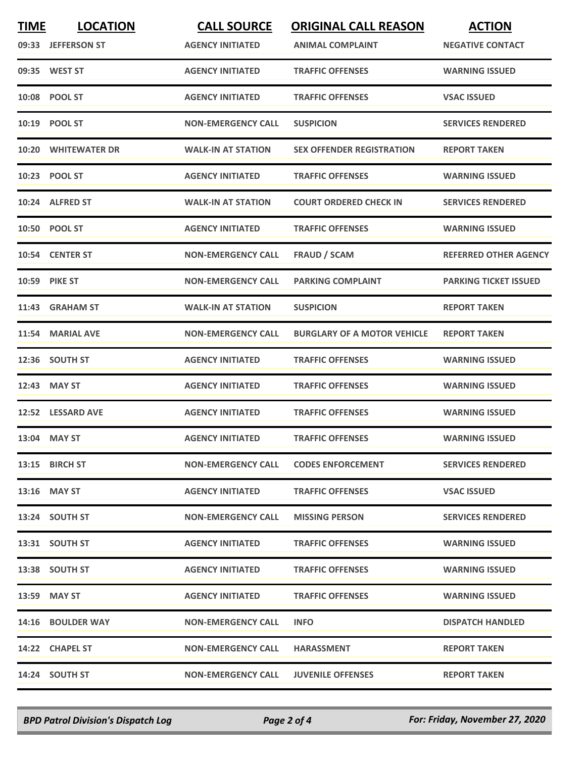| <b>TIME</b> | <b>LOCATION</b><br>09:33 JEFFERSON ST | <b>CALL SOURCE</b><br><b>AGENCY INITIATED</b> | <b>ORIGINAL CALL REASON</b><br><b>ANIMAL COMPLAINT</b> | <b>ACTION</b><br><b>NEGATIVE CONTACT</b> |
|-------------|---------------------------------------|-----------------------------------------------|--------------------------------------------------------|------------------------------------------|
|             | 09:35 WEST ST                         | <b>AGENCY INITIATED</b>                       | <b>TRAFFIC OFFENSES</b>                                | <b>WARNING ISSUED</b>                    |
|             | 10:08 POOL ST                         | <b>AGENCY INITIATED</b>                       | <b>TRAFFIC OFFENSES</b>                                | <b>VSAC ISSUED</b>                       |
|             | 10:19 POOL ST                         | <b>NON-EMERGENCY CALL</b>                     | <b>SUSPICION</b>                                       | <b>SERVICES RENDERED</b>                 |
|             | 10:20 WHITEWATER DR                   | <b>WALK-IN AT STATION</b>                     | <b>SEX OFFENDER REGISTRATION</b>                       | <b>REPORT TAKEN</b>                      |
|             | 10:23 POOL ST                         | <b>AGENCY INITIATED</b>                       | <b>TRAFFIC OFFENSES</b>                                | <b>WARNING ISSUED</b>                    |
| 10:24       | <b>ALFRED ST</b>                      | <b>WALK-IN AT STATION</b>                     | <b>COURT ORDERED CHECK IN</b>                          | <b>SERVICES RENDERED</b>                 |
|             | 10:50 POOL ST                         | <b>AGENCY INITIATED</b>                       | <b>TRAFFIC OFFENSES</b>                                | <b>WARNING ISSUED</b>                    |
|             | 10:54 CENTER ST                       | <b>NON-EMERGENCY CALL</b>                     | <b>FRAUD / SCAM</b>                                    | <b>REFERRED OTHER AGENCY</b>             |
|             | 10:59 PIKE ST                         | <b>NON-EMERGENCY CALL</b>                     | <b>PARKING COMPLAINT</b>                               | <b>PARKING TICKET ISSUED</b>             |
|             | 11:43 GRAHAM ST                       | <b>WALK-IN AT STATION</b>                     | <b>SUSPICION</b>                                       | <b>REPORT TAKEN</b>                      |
|             | 11:54 MARIAL AVE                      | <b>NON-EMERGENCY CALL</b>                     | <b>BURGLARY OF A MOTOR VEHICLE</b>                     | <b>REPORT TAKEN</b>                      |
|             | 12:36 SOUTH ST                        | <b>AGENCY INITIATED</b>                       | <b>TRAFFIC OFFENSES</b>                                | <b>WARNING ISSUED</b>                    |
| 12:43       | <b>MAY ST</b>                         | <b>AGENCY INITIATED</b>                       | <b>TRAFFIC OFFENSES</b>                                | <b>WARNING ISSUED</b>                    |
|             | 12:52 LESSARD AVE                     | <b>AGENCY INITIATED</b>                       | <b>TRAFFIC OFFENSES</b>                                | <b>WARNING ISSUED</b>                    |
|             | 13:04 MAY ST                          | <b>AGENCY INITIATED</b>                       | <b>TRAFFIC OFFENSES</b>                                | <b>WARNING ISSUED</b>                    |
|             | 13:15 BIRCH ST                        | <b>NON-EMERGENCY CALL</b>                     | <b>CODES ENFORCEMENT</b>                               | <b>SERVICES RENDERED</b>                 |
|             | $13:16$ MAY ST                        | <b>AGENCY INITIATED</b>                       | <b>TRAFFIC OFFENSES</b>                                | <b>VSAC ISSUED</b>                       |
|             | 13:24 SOUTH ST                        | <b>NON-EMERGENCY CALL</b>                     | <b>MISSING PERSON</b>                                  | <b>SERVICES RENDERED</b>                 |
|             | 13:31 SOUTH ST                        | <b>AGENCY INITIATED</b>                       | <b>TRAFFIC OFFENSES</b>                                | <b>WARNING ISSUED</b>                    |
|             | 13:38 SOUTH ST                        | <b>AGENCY INITIATED</b>                       | <b>TRAFFIC OFFENSES</b>                                | <b>WARNING ISSUED</b>                    |
|             | 13:59 MAY ST                          | <b>AGENCY INITIATED</b>                       | <b>TRAFFIC OFFENSES</b>                                | <b>WARNING ISSUED</b>                    |
|             | 14:16 BOULDER WAY                     | <b>NON-EMERGENCY CALL</b>                     | <b>INFO</b>                                            | <b>DISPATCH HANDLED</b>                  |
|             | 14:22 CHAPEL ST                       | <b>NON-EMERGENCY CALL</b>                     | <b>HARASSMENT</b>                                      | <b>REPORT TAKEN</b>                      |
|             | 14:24 SOUTH ST                        | NON-EMERGENCY CALL                            | <b>JUVENILE OFFENSES</b>                               | <b>REPORT TAKEN</b>                      |

*BPD Patrol Division's Dispatch Log Page 2 of 4 For: Friday, November 27, 2020*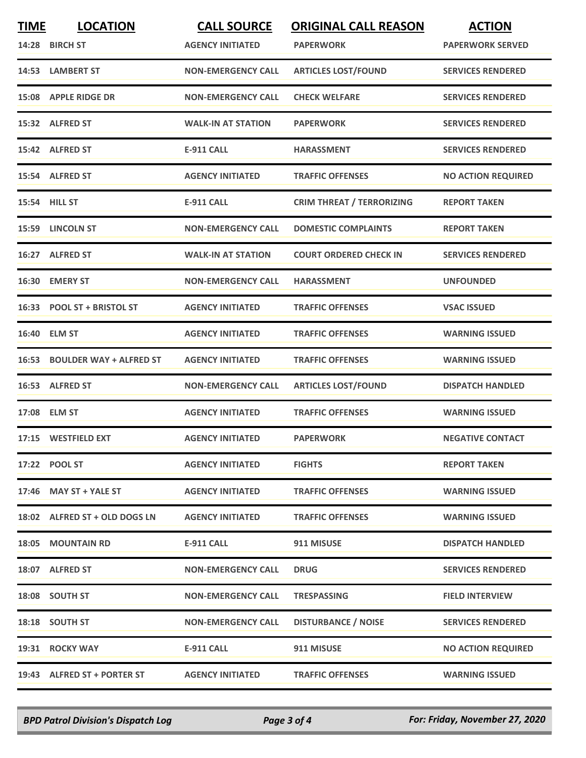| <b>TIME</b> | <b>LOCATION</b><br>14:28 BIRCH ST | <b>CALL SOURCE</b><br><b>AGENCY INITIATED</b> | <b>ORIGINAL CALL REASON</b><br><b>PAPERWORK</b> | <b>ACTION</b><br><b>PAPERWORK SERVED</b> |
|-------------|-----------------------------------|-----------------------------------------------|-------------------------------------------------|------------------------------------------|
|             | 14:53 LAMBERT ST                  | <b>NON-EMERGENCY CALL</b>                     | <b>ARTICLES LOST/FOUND</b>                      | <b>SERVICES RENDERED</b>                 |
|             | 15:08 APPLE RIDGE DR              | <b>NON-EMERGENCY CALL</b>                     | <b>CHECK WELFARE</b>                            | <b>SERVICES RENDERED</b>                 |
|             | 15:32 ALFRED ST                   | <b>WALK-IN AT STATION</b>                     | <b>PAPERWORK</b>                                | <b>SERVICES RENDERED</b>                 |
|             | 15:42 ALFRED ST                   | <b>E-911 CALL</b>                             | <b>HARASSMENT</b>                               | <b>SERVICES RENDERED</b>                 |
|             | 15:54 ALFRED ST                   | <b>AGENCY INITIATED</b>                       | <b>TRAFFIC OFFENSES</b>                         | <b>NO ACTION REQUIRED</b>                |
|             | 15:54 HILL ST                     | <b>E-911 CALL</b>                             | <b>CRIM THREAT / TERRORIZING</b>                | <b>REPORT TAKEN</b>                      |
|             | 15:59 LINCOLN ST                  | <b>NON-EMERGENCY CALL</b>                     | <b>DOMESTIC COMPLAINTS</b>                      | <b>REPORT TAKEN</b>                      |
|             | 16:27 ALFRED ST                   | <b>WALK-IN AT STATION</b>                     | <b>COURT ORDERED CHECK IN</b>                   | <b>SERVICES RENDERED</b>                 |
|             | 16:30 EMERY ST                    | <b>NON-EMERGENCY CALL</b>                     | <b>HARASSMENT</b>                               | <b>UNFOUNDED</b>                         |
|             | 16:33 POOL ST + BRISTOL ST        | <b>AGENCY INITIATED</b>                       | <b>TRAFFIC OFFENSES</b>                         | <b>VSAC ISSUED</b>                       |
|             | 16:40 ELM ST                      | <b>AGENCY INITIATED</b>                       | <b>TRAFFIC OFFENSES</b>                         | <b>WARNING ISSUED</b>                    |
|             | 16:53 BOULDER WAY + ALFRED ST     | <b>AGENCY INITIATED</b>                       | <b>TRAFFIC OFFENSES</b>                         | <b>WARNING ISSUED</b>                    |
|             | 16:53 ALFRED ST                   | <b>NON-EMERGENCY CALL</b>                     | <b>ARTICLES LOST/FOUND</b>                      | <b>DISPATCH HANDLED</b>                  |
|             | 17:08 ELM ST                      | <b>AGENCY INITIATED</b>                       | <b>TRAFFIC OFFENSES</b>                         | <b>WARNING ISSUED</b>                    |
|             | 17:15 WESTFIELD EXT               | <b>AGENCY INITIATED</b>                       | <b>PAPERWORK</b>                                | <b>NEGATIVE CONTACT</b>                  |
|             | 17:22 POOL ST                     | <b>AGENCY INITIATED</b>                       | <b>FIGHTS</b>                                   | <b>REPORT TAKEN</b>                      |
|             | 17:46 MAY ST + YALE ST            | <b>AGENCY INITIATED</b>                       | <b>TRAFFIC OFFENSES</b>                         | <b>WARNING ISSUED</b>                    |
|             | 18:02 ALFRED ST + OLD DOGS LN     | <b>AGENCY INITIATED</b>                       | <b>TRAFFIC OFFENSES</b>                         | <b>WARNING ISSUED</b>                    |
|             | <b>18:05 MOUNTAIN RD</b>          | <b>E-911 CALL</b>                             | 911 MISUSE                                      | <b>DISPATCH HANDLED</b>                  |
|             | 18:07 ALFRED ST                   | <b>NON-EMERGENCY CALL</b>                     | <b>DRUG</b>                                     | <b>SERVICES RENDERED</b>                 |
|             | 18:08 SOUTH ST                    | <b>NON-EMERGENCY CALL</b>                     | <b>TRESPASSING</b>                              | <b>FIELD INTERVIEW</b>                   |
|             | 18:18 SOUTH ST                    | <b>NON-EMERGENCY CALL</b>                     | <b>DISTURBANCE / NOISE</b>                      | <b>SERVICES RENDERED</b>                 |
|             | 19:31 ROCKY WAY                   | <b>E-911 CALL</b>                             | 911 MISUSE                                      | <b>NO ACTION REQUIRED</b>                |
|             | 19:43 ALFRED ST + PORTER ST       | <b>AGENCY INITIATED</b>                       | <b>TRAFFIC OFFENSES</b>                         | <b>WARNING ISSUED</b>                    |

*BPD Patrol Division's Dispatch Log Page 3 of 4 For: Friday, November 27, 2020*